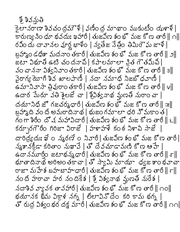## <u>g</u> gzzog

కెలానరాణా శివచంద్రమౌళి | వణింద్ర మాథాం ముకుటిం యళాళి | కారుణ్య సింధూ భవదుః ఖహారీ | తుజవీణ శంభో మజ కోణ తారీ || ౧|| రవీం దు దావానల వూర్ణ భాళీం | న్యకేజ నేత్రీం తిమిరౌఘ జాళీ | బ్రహ్మాం డధిశా మదనాం తకారీ | తుజవీణ శంభో మజ కోణ తారీ || ౨|| జటా విభూతి ఉటి చందనాపి | కపాలమాలా న్రిత గౌతమీపి | వం చాననా విశ్వనివాం తకారీ | తుజవీణ శంభో మజ కోణ తారీ || ౩|| వైరాగ్య యోగీ శివ ఖాలపాణి | నదా నమాధి నిజబోధవాణి | ఉమానివాసా త్రివురాంతకారీ | తుజవీణ శంభో మజ కోణ తారీ || ౪|| ఉదార పేురూ వతి శైలజే చా | శ్రీవిశ్వనాథ మ్లణతో నురాం చా | దయానిధీ జో గజచర్మధారీ | తుజవీణ శంభో మజ కోణ తారీ || జ|| బ్రహా ది వంది అమరాదినాథ | భుజంగమాలా ధరి నొమకాంత | గంగా శిరీం దొచ మహావిదారీ | తుజవీణ శంభొమజ కొణ తారీ || ౬|| కర్భుగౌరీం గిరిజా విరాజే | హళాహళే కంఠ నిళాచి సాజే | దారిద్య భు ల స్మరణే 0 నివారీ | తుజవీణ శంభో మజ కోణ తారీ | స్మశానక్షీడా కరితాం నుఖావే | తో దేవచూడామణి కోణ ఆహే ఉదానమూర్తిం జటాభన్మధారీ| తుజవీణ శంభో మజ కోణ తారీ  $\parallel\sigma\parallel$ భూతాదినాథ అరిఅం తకాచా | తో స్వామి మాయా ధ్వజ శాంభవాచా రాజా మహేశ బహబాహధారీ | తుజవీణ శంభో మజ కోణ తారీ || ౯|| నం దీ హరావా హర నందికేశ | శ్రీ విశ్వనాథ మ్లణతి నురేశ |  $\frac{1}{2}$  నడా సాధులో అందుకు సంభ్యులు క్రాంత్ (  $\sim$ ం) భయానక భీమ విక్రాళ నగ్న | లిలావినోదేం కరి కామ భగ్న | తో రుద్ర విశ్వంభర దక్ష మారీ | తుజవీణ శంభో మజ కోణ తారీ || ౧౧|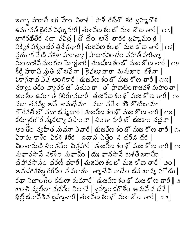ఇచ్చా హరాచి జగ హేం విశాళ | పాళీ రచితో కరి బ్రహ్మగోళ | ఉమావతీ భైరవ విఘ్న హారీ | తుజవీణ శంభో మజ కోణ తారీ || ౧౨|| భాగీరథితీర నదా వవిత్ర జే థేం అనే తారక బ్రహ్మమంత్ర | ఏశ్వేశ విశ్వం భర త్రినేత్రధారీ | తుజవీణ శంభో మజ కోణ తారీ || ౧౩|| వ్రమాగ పేణీ నకళా హరాచ్యా | పాదారవిం దీం వహాతీ హరీచ్యా | మం దాకిని మంగల మోక్టకారీ | తుజవీణ శంభో మజ కోణ తారీ || ౧౪ కీర్తీ హరాచి నుతి బొలవేనా | కైవల్యదాతా మనుజాం కళేనా | 5కాగ్రనాథ విష్ణలం గికారీ | తుజవీణ శంభో మజ కోణ తారీ || ౧౫|| నర్యాం తరీం వ్యావక జో నియం తా | తో ప్రాణలింగాజవళీ మహం తా | అం కీం ఉమా తే గిరిరూవధారీ | తుజవీణ శంభో మజ కోణ తారీ || ౧౬ నదా తవన్యీ అనే కామధేనూ | నదా నతేజ శశి కొటిఖానూ | గౌరీవతి జో నదా భన్మధారీ | తుజవీణ శంభో మజ కోణ తారీ || ౧౭|| కర్చూరగౌర న్మరల్యా విసాం వా | చింతా హరీ జొ భజకాం నదైవా | అం తీం న్వహీత నుచనా విచారీ | తుజవీణ శంభో మజ కోణ తారీ || ౧ విరామ కాళీం వికళ శరీర | ఉదాన చిత్రీం న ధరీచ ధీర | చింతామణీ చింతనేం చిత్తహారీ | తుజవీణ శంభో మజ కోణ తారీ || ౧ః సుఖావసానే నకళేం నుఖాచీం | దుః ఖావసానే టళతీ జగాచీం | దేహావసానేం ధరణీ థరారీ| తుజవీణ శంభో మజ కోణ తారీ∥ుం∥ అనుహాతశబ్ద గగనిం న మాయ | త్యాచేని నాదేం భవ ఖాన్య హొయ |  $\pi$  నిజాంగేం కరుణా కుమారీ|తుజవిణ శంభోమజ కోణ తారీ|| ౨ కాం తి న్యలో వదనిం విలానే | బ్రహ్మాం డగొళిం అనుని న దినే భిల్లి భవాని శివ బ్రహ్మచారీ | తుజవీణ శం భోమజ కోణ తారీ || ౨౨||